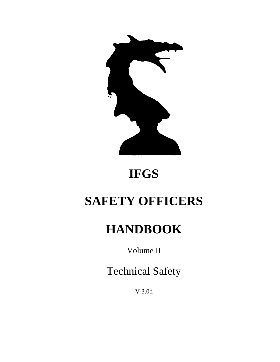

# **IFGS**

# **SAFETY OFFICERS**

# **HANDBOOK**

Volume II

Technical Safety

V 3.0d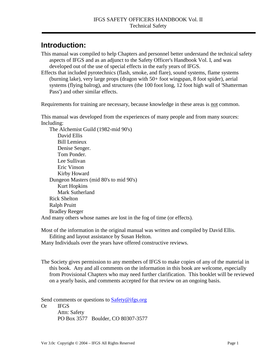## <span id="page-2-0"></span>**Introduction:**

This manual was compiled to help Chapters and personnel better understand the technical safety aspects of IFGS and as an adjunct to the Safety Officer's Handbook Vol. I, and was developed out of the use of special effects in the early years of IFGS.

Effects that included pyrotechnics (flash, smoke, and flare), sound systems, flame systems (burning lake), very large props (dragon with 50+ foot wingspan, 8 foot spider), aerial systems (flying balrog), and structures (the 100 foot long, 12 foot high wall of 'Shatterman Pass') and other similar effects.

Requirements for training are necessary, because knowledge in these areas is not common.

This manual was developed from the experiences of many people and from many sources: Including:

 The Alchemist Guild (1982-mid 90's) David Ellis Bill Lemieux Denise Senger. Tom Ponder. Lee Sullivan Eric Vinson Kirby Howard Dungeon Masters (mid 80's to mid 90's) Kurt Hopkins Mark Sutherland Rick Shelton Ralph Pruitt Bradley Reeger And many others whose names are lost in the fog of time (or effects).

Most of the information in the original manual was written and compiled by David Ellis. Editing and layout assistance by Susan Helton.

Many Individuals over the years have offered constructive reviews.

The Society gives permission to any members of IFGS to make copies of any of the material in this book. Any and all comments on the information in this book are welcome, especially from Provisional Chapters who may need further clarification. This booklet will be reviewed on a yearly basis, and comments accepted for that review on an ongoing basis.

Send comments or questions to Safety@ifgs.org

Or IFGS Attn: Safety PO Box 3577 Boulder, CO 80307-3577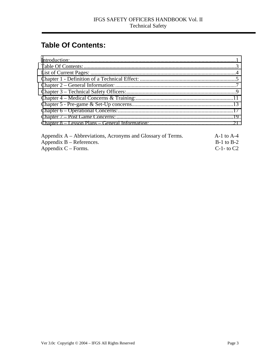# **Table Of Contents:**

| Appendix A – Abbreviations, Acronyms and Glossary of Terms. | $A-1$ to $A-4$  |
|-------------------------------------------------------------|-----------------|
| Appendix $B -$ References.                                  | $B-1$ to $B-2$  |
| Appendix $C$ – Forms.                                       | $C-1$ - to $C2$ |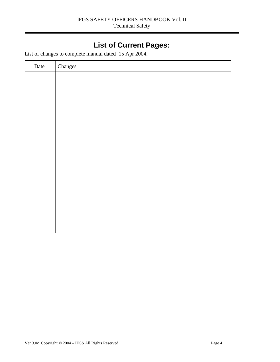# **List of Current Pages:**

<span id="page-5-0"></span>List of changes to complete manual dated 15 Apr 2004.

| Date | Changes |
|------|---------|
|      |         |
|      |         |
|      |         |
|      |         |
|      |         |
|      |         |
|      |         |
|      |         |
|      |         |
|      |         |
|      |         |
|      |         |
|      |         |
|      |         |
|      |         |
|      |         |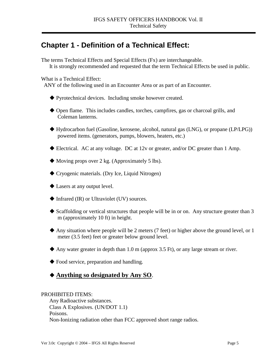# <span id="page-6-0"></span>**Chapter 1 - Definition of a Technical Effect:**

The terms Technical Effects and Special Effects (Fx) are interchangeable. It is strongly recommended and requested that the term Technical Effects be used in public.

What is a Technical Effect:

ANY of the following used in an Encounter Area or as part of an Encounter.

- ! Pyrotechnical devices. Including smoke however created.
- ! Open flame. This includes candles, torches, campfires, gas or charcoal grills, and Coleman lanterns.
- ! Hydrocarbon fuel (Gasoline, kerosene, alcohol, natural gas (LNG), or propane (LP/LPG)) powered items. (generators, pumps, blowers, heaters, etc.)
- $\blacklozenge$  Electrical. AC at any voltage. DC at 12v or greater, and/or DC greater than 1 Amp.
- $\blacklozenge$  Moving props over 2 kg. (Approximately 5 lbs).
- ! Cryogenic materials. (Dry Ice, Liquid Nitrogen)
- $\blacklozenge$  Lasers at any output level.
- $\blacklozenge$  Infrared (IR) or Ultraviolet (UV) sources.
- $\blacklozenge$  Scaffolding or vertical structures that people will be in or on. Any structure greater than 3 m (approximately 10 ft) in height.
- $\blacklozenge$  Any situation where people will be 2 meters (7 feet) or higher above the ground level, or 1 meter (3.5 feet) feet or greater below ground level.
- $\triangle$  Any water greater in depth than 1.0 m (approx 3.5 Ft), or any large stream or river.
- $\blacklozenge$  Food service, preparation and handling.

## ! **Anything so designated by Any SO**.

#### PROHIBITED ITEMS:

 Any Radioactive substances. Class A Explosives. (UN/DOT 1.1) Poisons. Non-Ionizing radiation other than FCC approved short range radios.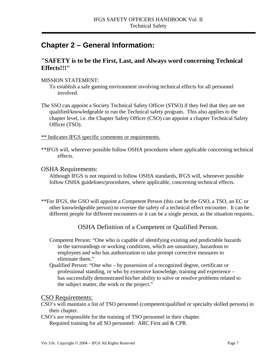# <span id="page-8-0"></span>**Chapter 2 – General Information:**

## **"SAFETY is to be the First, Last, and Always word concerning Technical Effects!!!"**

#### MISSION STATEMENT:

 To establish a safe gaming environment involving technical effects for all personnel involved.

The SSO can appoint a Society Technical Safety Officer (STSO) if they feel that they are not qualified/knowledgeable to run the Technical safety program. This also applies to the chapter level, i.e. the Chapter Safety Officer (CSO) can appoint a chapter Technical Safety Officer (TSO).

\*\* Indicates IFGS specific comments or requirements.

\*\*IFGS will, wherever possible follow OSHA procedures where applicable concerning technical effects.

#### OSHA Requirements:

 Although IFGS is not required to follow OSHA standards, IFGS will, whenever possible follow OSHA guidelines/procedures, where applicable, concerning technical effects.

\*\*For IFGS, the GSO will appoint a Competent Person (this can be the GSO, a TSO, an EC or other knowledgeable person) to oversee the safety of a technical effect encounter. It can be different people for different encounters or it can be a single person, as the situation requires..

## OSHA Definition of a Competent or Qualified Person.

- Competent Person: "One who is capable of identifying existing and predictable hazards in the surroundings or working conditions, which are unsanitary, hazardous to employees and who has authorization to take prompt corrective measures to eliminate them."
- Qualified Person: "One who by possession of a recognized degree, certificate or professional standing, or who by extensive knowledge, training and experience – has successfully demonstrated his/her ability to solve or resolve problems related to the subject matter, the work or the project."

### CSO Requirements:

CSO's will maintain a list of TSO personnel (competent/qualified or specialty skilled persons) in their chapter.

CSO's are responsible for the training of TSO personnel in their chapter. Required training for all SO personnel: ARC First aid & CPR.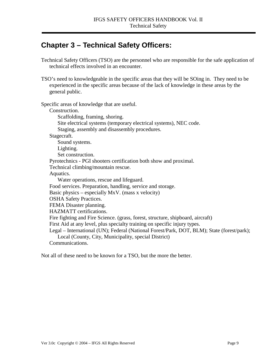# <span id="page-10-0"></span>**Chapter 3 – Technical Safety Officers:**

- Technical Safety Officers (TSO) are the personnel who are responsible for the safe application of technical effects involved in an encounter.
- TSO's need to knowledgeable in the specific areas that they will be SOing in. They need to be experienced in the specific areas because of the lack of knowledge in these areas by the general public.

Specific areas of knowledge that are useful. Construction. Scaffolding, framing, shoring. Site electrical systems (temporary electrical systems), NEC code. Staging, assembly and disassembly procedures. Stagecraft. Sound systems. Lighting. Set construction. Pyrotechnics - PGI shooters certification both show and proximal. Technical climbing/mountain rescue. Aquatics. Water operations, rescue and lifeguard. Food services. Preparation, handling, service and storage. Basic physics – especially  $MxV$ . (mass x velocity) OSHA Safety Practices. FEMA Disaster planning. HAZMATT certifications. Fire fighting and Fire Science. (grass, forest, structure, shipboard, aircraft) First Aid at any level, plus specialty training on specific injury types. Legal – International (UN); Federal (National Forest/Park, DOT, BLM); State (forest/park); Local (County, City, Municipality, special District) Communications.

Not all of these need to be known for a TSO, but the more the better.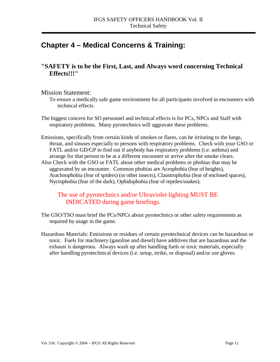# <span id="page-12-0"></span>**Chapter 4 – Medical Concerns & Training:**

## **"SAFETY is to be the First, Last, and Always word concerning Technical Effects!!!"**

#### Mission Statement:

To ensure a medically safe game environment for all participants involved in encounters with technical effects.

- The biggest concern for SO personnel and technical effects is for PCs, NPCs and Staff with respiratory problems. Many pyrotechnics will aggravate these problems.
- Emissions, specifically from certain kinds of smokes or flares, can be irritating to the lungs, throat, and sinuses especially to persons with respiratory problems. Check with your GSO or FATL and/or GD/GP to find out if anybody has respiratory problems (i.e. asthma) and arrange for that person to be at a different encounter or arrive after the smoke clears. Also Check with the GSO or FATL about other medical problems or phobias that may be aggravated by an encounter. Common phobias are Acrophobia (fear of heights), Arachnophobia (fear of spiders) (or other insects), Claustrophobia (fear of enclosed spaces), Nyctophobia (fear of the dark), Ophidophobia (fear of reptiles/snakes).

## The use of pyrotechnics and/or Ultraviolet lighting MUST BE INDICATED during game briefings.

- The GSO/TSO must brief the PCs/NPCs about pyrotechnics or other safety requirements as required by usage in the game.
- Hazardous Materials: Emissions or residues of certain pyrotechnical devices can be hazardous or toxic. Fuels for machinery (gasoline and diesel) have additives that are hazardous and the exhaust is dangerous. Always wash up after handling fuels or toxic materials, especially after handling pyrotechnical devices (i.e. setup, strike, or disposal) and/or use gloves.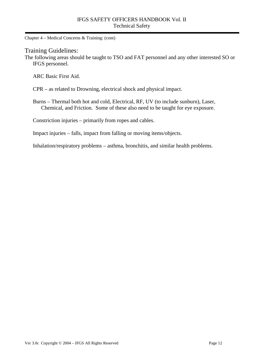Chapter 4 – Medical Concerns & Training: (cont)

#### Training Guidelines:

The following areas should be taught to TSO and FAT personnel and any other interested SO or IFGS personnel.

ARC Basic First Aid.

CPR – as related to Drowning, electrical shock and physical impact.

 Burns – Thermal both hot and cold, Electrical, RF, UV (to include sunburn), Laser, Chemical, and Friction. Some of these also need to be taught for eye exposure.

Constriction injuries – primarily from ropes and cables.

Impact injuries – falls, impact from falling or moving items/objects.

Inhalation/respiratory problems – asthma, bronchitis, and similar health problems.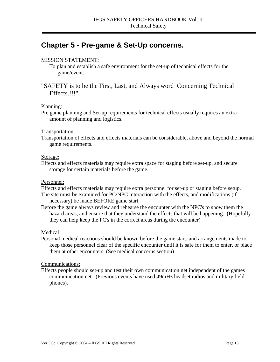# <span id="page-14-0"></span>**Chapter 5 - Pre-game & Set-Up concerns.**

#### MISSION STATEMENT:

- To plan and establish a safe environment for the set-up of technical effects for the game/event.
- "SAFETY is to be the First, Last, and Always word Concerning Technical Effects.!!!"

#### Planning:

Pre game planning and Set-up requirements for technical effects usually requires an extra amount of planning and logistics.

#### Transportation:

Transportation of effects and effects materials can be considerable, above and beyond the normal game requirements.

#### Storage:

Effects and effects materials may require extra space for staging before set-up, and secure storage for certain materials before the game.

#### Personnel:

Effects and effects materials may require extra personnel for set-up or staging before setup.

- The site must be examined for PC/NPC interaction with the effects, and modifications (if necessary) be made BEFORE game start.
- Before the game always review and rehearse the encounter with the NPC's to show them the hazard areas, and ensure that they understand the effects that will be happening. (Hopefully they can help keep the PC's in the correct areas during the encounter)

#### Medical:

Personal medical reactions should be known before the game start, and arrangements made to keep those personnel clear of the specific encounter until it is safe for them to enter, or place them at other encounters. (See medical concerns section)

#### Communications:

Effects people should set-up and test their own communication net independent of the games communication net. (Previous events have used 49mHz headset radios and military field phones).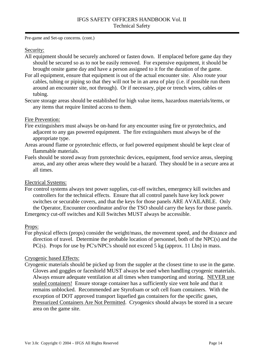Pre-game and Set-up concerns. (cont.)

#### Security:

- All equipment should be securely anchored or fasten down. If emplaced before game day they should be secured so as to not be easily removed. For expensive equipment, it should be brought onsite game day and have a person assigned to it for the duration of the game.
- For all equipment, ensure that equipment is out of the actual encounter site. Also route your cables, tubing or piping so that they will not be in an area of play (i.e. if possible run them around an encounter site, not through). Or if necessary, pipe or trench wires, cables or tubing.
- Secure storage areas should be established for high value items, hazardous materials/items, or any items that require limited access to them.

#### Fire Prevention:

- Fire extinguishers must always be on-hand for any encounter using fire or pyrotechnics, and adjacent to any gas powered equipment. The fire extinguishers must always be of the appropriate type.
- Areas around flame or pyrotechnic effects, or fuel powered equipment should be kept clear of flammable materials.
- Fuels should be stored away from pyrotechnic devices, equipment, food service areas, sleeping areas, and any other areas where they would be a hazard. They should be in a secure area at all times.

#### Electrical Systems:

For control systems always test power supplies, cut-off switches, emergency kill switches and controllers for the technical effects. Ensure that all control panels have key lock power switches or securable covers, and that the keys for those panels ARE AVAILABLE. Only the Operator, Encounter coordinator and/or the TSO should carry the keys for those panels. Emergency cut-off switches and Kill Switches MUST always be accessible.

#### Props:

For physical effects (props) consider the weight/mass, the movement speed, and the distance and direction of travel. Determine the probable location of personnel, both of the NPC(s) and the PC(s). Props for use by PC's/NPC's should not exceed 5 kg (approx. 11 Lbs) in mass.

#### Cryogenic based Effects:

Cryogenic materials should be picked up from the suppler at the closest time to use in the game. Gloves and goggles or faceshield MUST always be used when handling cryogenic materials. Always ensure adequate ventilation at all times when transporting and storing. NEVER use sealed containers! Ensure storage container has a sufficiently size vent hole and that it remains unblocked. Recommended are Styrofoam or soft cell foam containers. With the exception of DOT approved transport liquefied gas containers for the specific gases, Pressurized Containers Are Not Permitted. Cryogenics should always be stored in a secure area on the game site.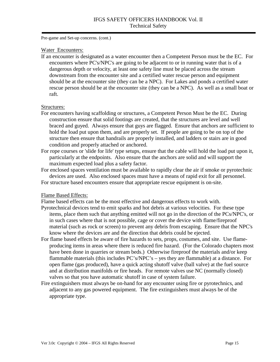Pre-game and Set-up concerns. (cont.)

#### Water Encounters:

If an encounter is designated as a water encounter then a Competent Person must be the EC. For encounters where PC's/NPC's are going to be adjacent to or in running water that is of a dangerous depth or velocity, at least one safety line must be placed across the stream downstream from the encounter site and a certified water rescue person and equipment should be at the encounter site (they can be a NPC). For Lakes and ponds a certified water rescue person should be at the encounter site (they can be a NPC). As well as a small boat or raft.

#### Structures:

- For encounters having scaffolding or structures, a Competent Person Must be the EC. During construction ensure that solid footings are created, that the structures are level and well braced and guyed. Always ensure that guys are flagged. Ensure that anchors are sufficient to hold the load put upon them, and are properly set. If people are going to be on top of the structure then ensure that handrails are properly installed, and ladders or stairs are in good condition and properly attached or anchored.
- For rope courses or 'slide for life' type setups, ensure that the cable will hold the load put upon it, particularly at the endpoints. Also ensure that the anchors are solid and will support the maximum expected load plus a safety factor.
- For enclosed spaces ventilation must be available to rapidly clear the air if smoke or pyrotechnic devices are used. Also enclosed spaces must have a means of rapid exit for all personnel.
- For structure based encounters ensure that appropriate rescue equipment is on-site.

#### Flame Based Effects:

Flame based effects can be the most effective and dangerous effects to work with.

- Pyrotechnical devices tend to emit sparks and hot debris at various velocities. For these type items, place them such that anything emitted will not go in the direction of the PCs/NPC's, or in such cases where that is not possible, cage or cover the device with flame/fireproof material (such as rock or screen) to prevent any debris from escaping. Ensure that the NPC's know where the devices are and the direction that debris could be ejected.
- For flame based effects be aware of fire hazards to sets, props, costumes, and site. Use flameproducing items in areas where there is reduced fire hazard. (For the Colorado chapters most have been done in quarries or stream beds.) Otherwise fireproof the materials and/or keep flammable materials (this includes PC's/NPC's – yes they are flammable) at a distance. For open flame (gas produced), have a quick acting shutoff valve (ball valve) at the fuel source and at distribution manifolds or fire heads. For remote valves use NC (normally closed) valves so that you have automatic shutoff in case of system failure.
- Fire extinguishers must always be on-hand for any encounter using fire or pyrotechnics, and adjacent to any gas powered equipment. The fire extinguishers must always be of the appropriate type.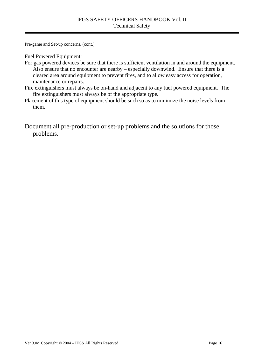Pre-game and Set-up concerns. (cont.)

Fuel Powered Equipment:

- For gas powered devices be sure that there is sufficient ventilation in and around the equipment. Also ensure that no encounter are nearby – especially downwind. Ensure that there is a cleared area around equipment to prevent fires, and to allow easy access for operation, maintenance or repairs.
- Fire extinguishers must always be on-hand and adjacent to any fuel powered equipment. The fire extinguishers must always be of the appropriate type.
- Placement of this type of equipment should be such so as to minimize the noise levels from them.

Document all pre-production or set-up problems and the solutions for those problems.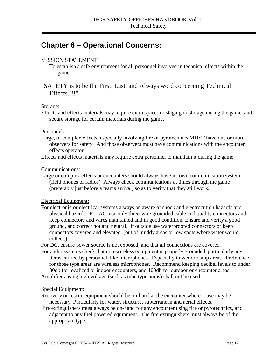## <span id="page-18-0"></span>**Chapter 6 – Operational Concerns:**

#### MISSION STATEMENT:

 To establish a safe environment for all personnel involved in technical effects within the game.

### "SAFETY is to be the First, Last, and Always word concerning Technical Effects.!!!"

#### Storage:

Effects and effects materials may require extra space for staging or storage during the game, and secure storage for certain materials during the game.

#### Personnel:

Large, or complex effects, especially involving fire or pyrotechnics MUST have one or more observers for safety. And those observers must have communications with the encounter effects operator.

Effects and effects materials may require extra personnel to maintain it during the game.

#### Communications:

Large or complex effects or encounters should always have its own communication system. (field phones or radios) Always check communications at times through the game (preferably just before a teams arrival) so as to verify that they still work.

#### Electrical Equipment:

For electronic or electrical systems always be aware of shock and electrocution hazards and physical hazards. For AC, use only three-wire grounded cable and quality connectors and keep connectors and wires maintained and in good condition. Ensure and verify a good ground, and correct hot and neutral. If outside use waterproofed connectors or keep connectors covered and elevated. (out of muddy areas or low spots where water would collect.)

For DC, ensure power source is not exposed, and that all connections are covered.

For audio systems check that non-wireless equipment is properly grounded, particularly any items carried by personnel, like microphones. Especially in wet or damp areas. Preference for those type areas are wireless microphones. Recommend keeping decibel levels to under 80db for localized or indoor encounters, and 100db for outdoor or encounter areas. Amplifiers using high voltage (such as tube type amps) shall not be used.

#### Special Equipment:

Recovery or rescue equipment should be on-hand at the encounter where it use may be necessary. Particularly for water, structure, subterranean and aerial effects.

Fire extinguishers must always be on-hand for any encounter using fire or pyrotechnics, and adjacent to any fuel powered equipment. The fire extinguishers must always be of the appropriate type.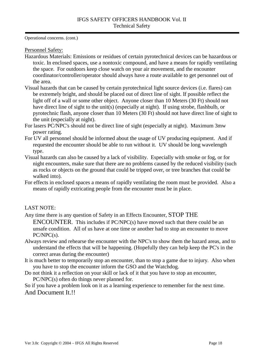Operational concerns. (cont.)

Personnel Safety:

- Hazardous Materials: Emissions or residues of certain pyrotechnical devices can be hazardous or toxic. In enclosed spaces, use a nontoxic compound, and have a means for rapidly ventilating the space. For outdoors keep close watch on your air movement, and the encounter coordinator/controller/operator should always have a route available to get personnel out of the area.
- Visual hazards that can be caused by certain pyrotechnical light source devices (i.e. flares) can be extremely bright, and should be placed out of direct line of sight. If possible reflect the light off of a wall or some other object. Anyone closer than 10 Meters (30 Ft) should not have direct line of sight to the unit(s) (especially at night). If using strobe, flashbulb, or pyrotechnic flash, anyone closer than 10 Meters (30 Ft) should not have direct line of sight to the unit (especially at night).
- For lasers PC/NPC's should not be direct line of sight (especially at night). Maximum 3mw power rating.
- For UV all personnel should be informed about the usage of UV producing equipment. And if requested the encounter should be able to run without it. UV should be long wavelength type.
- Visual hazards can also be caused by a lack of visibility. Especially with smoke or fog, or for night encounters, make sure that there are no problems caused by the reduced visibility (such as rocks or objects on the ground that could be tripped over, or tree branches that could be walked into).
- For effects in enclosed spaces a means of rapidly ventilating the room must be provided. Also a means of rapidly extricating people from the encounter must be in place.

#### LAST NOTE:

Any time there is any question of Safety in an Effects Encounter, STOP THE

ENCOUNTER. This includes if PC/NPC(s) have moved such that there could be an unsafe condition. All of us have at one time or another had to stop an encounter to move PC/NPC(s).

- Always review and rehearse the encounter with the NPC's to show them the hazard areas, and to understand the effects that will be happening. (Hopefully they can help keep the PC's in the correct areas during the encounter)
- It is much better to temporarily stop an encounter, than to stop a game due to injury. Also when you have to stop the encounter inform the GSO and the Watchdog.
- Do not think it a reflection on your skill or lack of it that you have to stop an encounter, PC/NPC(s) often do things never planned for.

So if you have a problem look on it as a learning experience to remember for the next time. And Document It.!!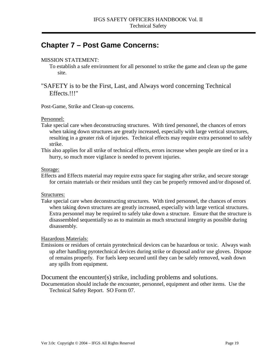## <span id="page-20-0"></span>**Chapter 7 – Post Game Concerns:**

#### MISSION STATEMENT:

 To establish a safe environment for all personnel to strike the game and clean up the game site.

## "SAFETY is to be the First, Last, and Always word concerning Technical Effects.!!!"

Post-Game, Strike and Clean-up concerns.

#### Personnel:

- Take special care when deconstructing structures. With tired personnel, the chances of errors when taking down structures are greatly increased, especially with large vertical structures, resulting in a greater risk of injuries. Technical effects may require extra personnel to safely strike.
- This also applies for all strike of technical effects, errors increase when people are tired or in a hurry, so much more vigilance is needed to prevent injuries.

#### Storage:

Effects and Effects material may require extra space for staging after strike, and secure storage for certain materials or their residues until they can be properly removed and/or disposed of.

#### Structures:

Take special care when deconstructing structures. With tired personnel, the chances of errors when taking down structures are greatly increased, especially with large vertical structures. Extra personnel may be required to safely take down a structure. Ensure that the structure is disassembled sequentially so as to maintain as much structural integrity as possible during disassembly.

#### Hazardous Materials:

Emissions or residues of certain pyrotechnical devices can be hazardous or toxic. Always wash up after handling pyrotechnical devices during strike or disposal and/or use gloves. Dispose of remains properly. For fuels keep secured until they can be safely removed, wash down any spills from equipment.

#### Document the encounter(s) strike, including problems and solutions.

Documentation should include the encounter, personnel, equipment and other items. Use the Technical Safety Report. SO Form 07.